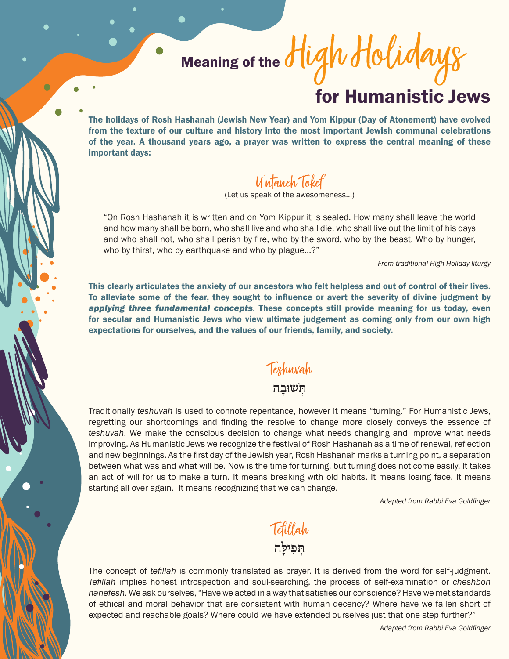## Meaning of the for Humanistic Jews High Holidays

The holidays of Rosh Hashanah (Jewish New Year) and Yom Kippur (Day of Atonement) have evolved from the texture of our culture and history into the most important Jewish communal celebrations of the year. A thousand years ago, a prayer was written to express the central meaning of these important days:

## U'ntaneh Tokef

(Let us speak of the awesomeness…)

"On Rosh Hashanah it is written and on Yom Kippur it is sealed. How many shall leave the world and how many shall be born, who shall live and who shall die, who shall live out the limit of his days and who shall not, who shall perish by fire, who by the sword, who by the beast. Who by hunger, who by thirst, who by earthquake and who by plague…?"

*From traditional High Holiday liturgy*

This clearly articulates the anxiety of our ancestors who felt helpless and out of control of their lives. To alleviate some of the fear, they sought to influence or avert the severity of divine judgment by *applying three fundamental concepts*. These concepts still provide meaning for us today, even for secular and Humanistic Jews who view ultimate judgement as coming only from our own high expectations for ourselves, and the values of our friends, family, and society.

## Teshuvah

## **ּתְֹ שּובָ ה**

Traditionally *teshuvah* is used to connote repentance, however it means "turning." For Humanistic Jews, regretting our shortcomings and finding the resolve to change more closely conveys the essence of *teshuvah*. We make the conscious decision to change what needs changing and improve what needs improving. As Humanistic Jews we recognize the festival of Rosh Hashanah as a time of renewal, reflection and new beginnings. As the first day of the Jewish year, Rosh Hashanah marks a turning point, a separation between what was and what will be. Now is the time for turning, but turning does not come easily. It takes an act of will for us to make a turn. It means breaking with old habits. It means losing face. It means starting all over again. It means recognizing that we can change.

*Adapted from Rabbi Eva Goldfinger*

Tefillah **ּתְ פִ יּלָ ה**

The concept of *tefillah* is commonly translated as prayer. It is derived from the word for self-judgment. *Tefillah* implies honest introspection and soul-searching, the process of self-examination or *cheshbon hanefesh*. We ask ourselves, "Have we acted in a way that satisfies our conscience? Have we met standards of ethical and moral behavior that are consistent with human decency? Where have we fallen short of expected and reachable goals? Where could we have extended ourselves just that one step further?"